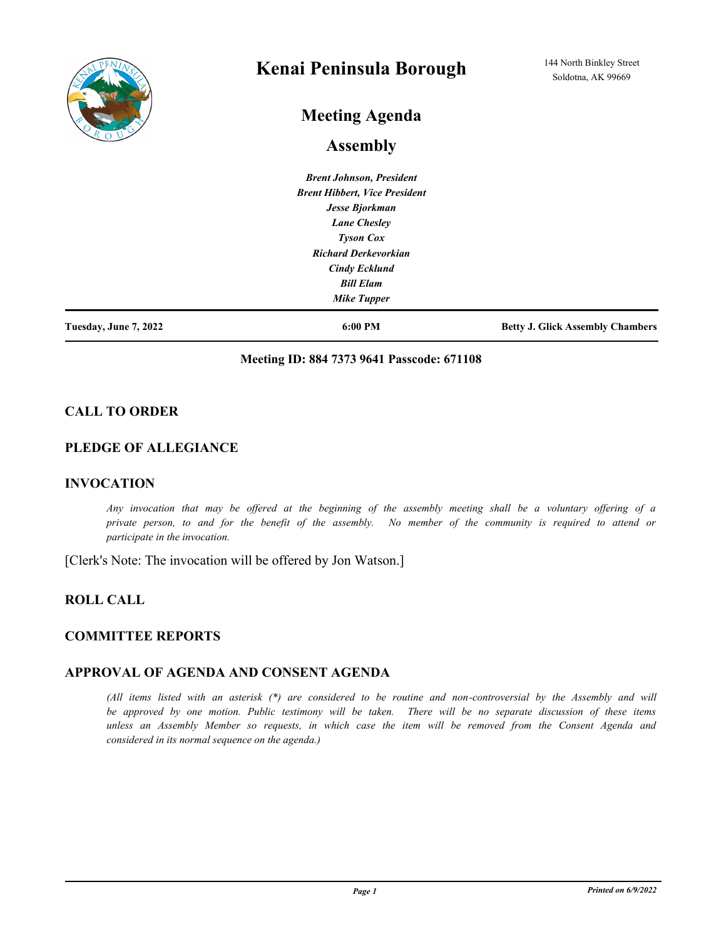

# **Kenai Peninsula Borough**

# **Meeting Agenda**

# **Assembly**

*Brent Johnson, President Brent Hibbert, Vice President Jesse Bjorkman Lane Chesley Tyson Cox Richard Derkevorkian Cindy Ecklund Bill Elam Mike Tupper*

**Tuesday, June 7, 2022 6:00 PM Betty J. Glick Assembly Chambers**

#### **Meeting ID: 884 7373 9641 Passcode: 671108**

## **CALL TO ORDER**

## **PLEDGE OF ALLEGIANCE**

## **INVOCATION**

*Any invocation that may be offered at the beginning of the assembly meeting shall be a voluntary offering of a private person, to and for the benefit of the assembly. No member of the community is required to attend or participate in the invocation.*

[Clerk's Note: The invocation will be offered by Jon Watson.]

# **ROLL CALL**

## **COMMITTEE REPORTS**

## **APPROVAL OF AGENDA AND CONSENT AGENDA**

*(All items listed with an asterisk (\*) are considered to be routine and non-controversial by the Assembly and will be approved by one motion. Public testimony will be taken. There will be no separate discussion of these items unless an Assembly Member so requests, in which case the item will be removed from the Consent Agenda and considered in its normal sequence on the agenda.)*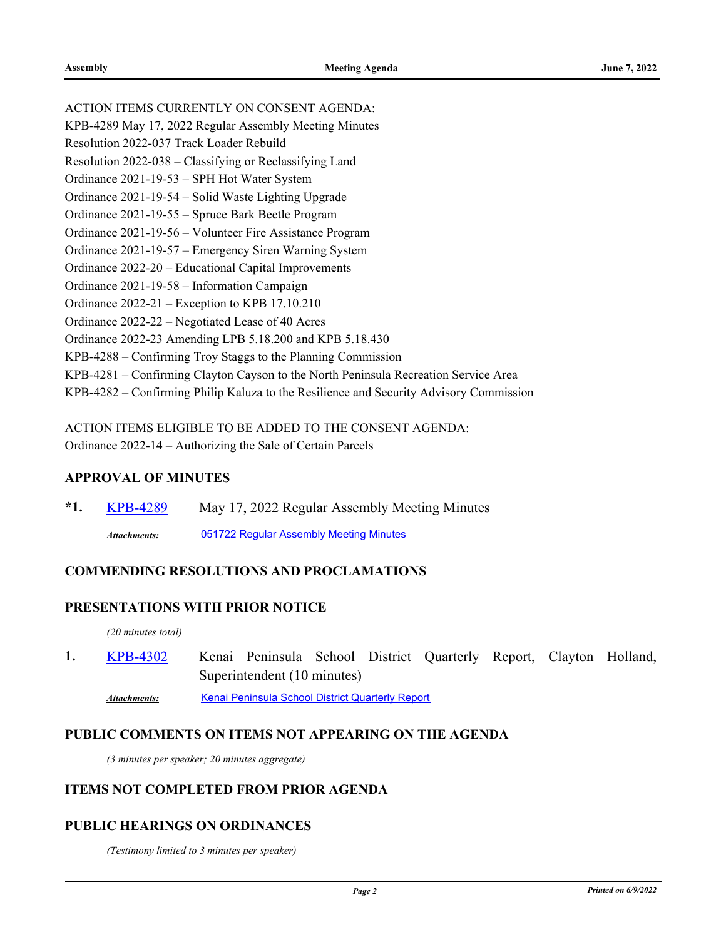| ACTION ITEMS CURRENTLY ON CONSENT AGENDA:                                              |
|----------------------------------------------------------------------------------------|
| KPB-4289 May 17, 2022 Regular Assembly Meeting Minutes                                 |
| Resolution 2022-037 Track Loader Rebuild                                               |
| Resolution 2022-038 – Classifying or Reclassifying Land                                |
| Ordinance 2021-19-53 – SPH Hot Water System                                            |
| Ordinance 2021-19-54 – Solid Waste Lighting Upgrade                                    |
| Ordinance 2021-19-55 – Spruce Bark Beetle Program                                      |
| Ordinance 2021-19-56 - Volunteer Fire Assistance Program                               |
| Ordinance 2021-19-57 – Emergency Siren Warning System                                  |
| Ordinance 2022-20 – Educational Capital Improvements                                   |
| Ordinance 2021-19-58 – Information Campaign                                            |
| Ordinance $2022-21$ – Exception to KPB 17.10.210                                       |
| Ordinance 2022-22 – Negotiated Lease of 40 Acres                                       |
| Ordinance 2022-23 Amending LPB 5.18.200 and KPB 5.18.430                               |
| KPB-4288 – Confirming Troy Staggs to the Planning Commission                           |
| KPB-4281 – Confirming Clayton Cayson to the North Peninsula Recreation Service Area    |
| KPB-4282 – Confirming Philip Kaluza to the Resilience and Security Advisory Commission |
|                                                                                        |

ACTION ITEMS ELIGIBLE TO BE ADDED TO THE CONSENT AGENDA: Ordinance 2022-14 – Authorizing the Sale of Certain Parcels

#### **APPROVAL OF MINUTES**

**\*1.** [KPB-4289](http://kpb.legistar.com/gateway.aspx?m=l&id=/matter.aspx?key=25779) May 17, 2022 Regular Assembly Meeting Minutes *Attachments:* [051722 Regular Assembly Meeting Minutes](http://kpb.legistar.com/gateway.aspx?M=F&ID=f5e77d8c-2ae6-4378-abef-ad7eab0c4648.pdf)

## **COMMENDING RESOLUTIONS AND PROCLAMATIONS**

# **PRESENTATIONS WITH PRIOR NOTICE**

*(20 minutes total)*

Kenai Peninsula School District Quarterly Report, Clayton Holland, Superintendent (10 minutes) **1.** [KPB-4302](http://kpb.legistar.com/gateway.aspx?m=l&id=/matter.aspx?key=25792)

Attachments: [Kenai Peninsula School District Quarterly Report](http://kpb.legistar.com/gateway.aspx?M=F&ID=80c6525a-e9ad-4d2d-955d-702471ca57bd.pdf)

## **PUBLIC COMMENTS ON ITEMS NOT APPEARING ON THE AGENDA**

*(3 minutes per speaker; 20 minutes aggregate)*

#### **ITEMS NOT COMPLETED FROM PRIOR AGENDA**

#### **PUBLIC HEARINGS ON ORDINANCES**

*(Testimony limited to 3 minutes per speaker)*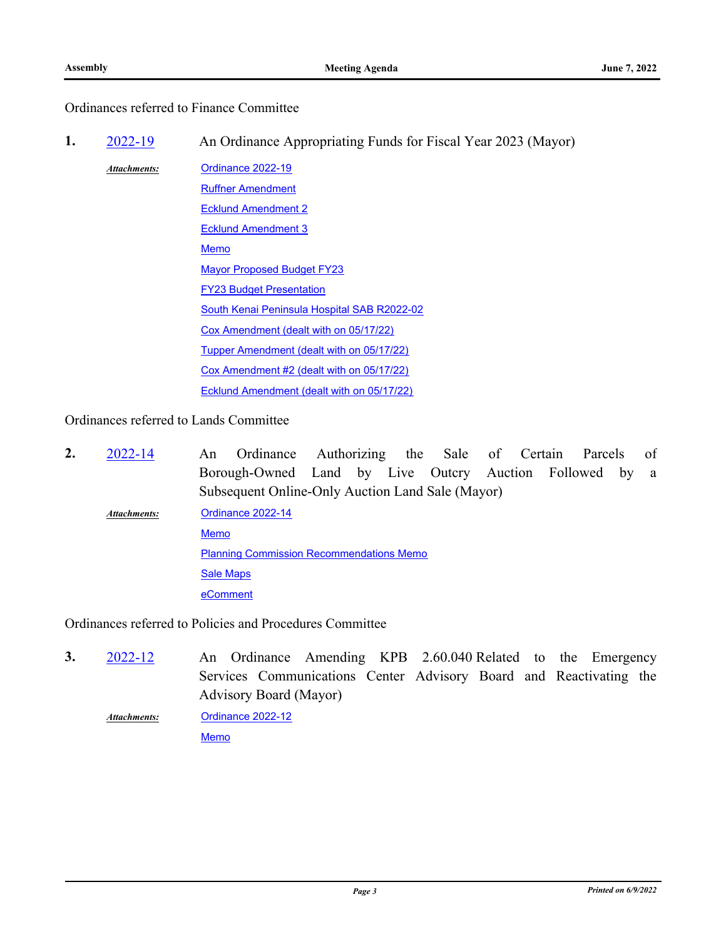# Ordinances referred to Finance Committee

**1.** [2022-19](http://kpb.legistar.com/gateway.aspx?m=l&id=/matter.aspx?key=25625) An Ordinance Appropriating Funds for Fiscal Year 2023 (Mayor)

[Ordinance 2022-19](http://kpb.legistar.com/gateway.aspx?M=F&ID=b8a80b30-f034-4eb0-a56a-27f1296a4e23.pdf) [Ruffner Amendment](http://kpb.legistar.com/gateway.aspx?M=F&ID=c64a1b9e-a151-4945-8a54-58b9b1e2571c.pdf) [Ecklund Amendment 2](http://kpb.legistar.com/gateway.aspx?M=F&ID=8bd1ea80-7cfd-426c-b6e0-b40d3b456197.pdf) [Ecklund Amendment 3](http://kpb.legistar.com/gateway.aspx?M=F&ID=53be4237-d517-4161-859f-7e9b6f55f412.pdf) [Memo](http://kpb.legistar.com/gateway.aspx?M=F&ID=743f2981-2b62-4de6-9f15-71a7ef963fb2.pdf) [Mayor Proposed Budget FY23](http://kpb.legistar.com/gateway.aspx?M=F&ID=0e30e563-2dbf-42f6-bf4e-42f0398fce42.pdf) **[FY23 Budget Presentation](http://kpb.legistar.com/gateway.aspx?M=F&ID=c9cf0a18-9ebc-4d60-b83e-f6946eb9408f.pdf)** [South Kenai Peninsula Hospital SAB R2022-02](http://kpb.legistar.com/gateway.aspx?M=F&ID=02cbfa81-53d8-4d80-8421-3cbd2daf6860.pdf) [Cox Amendment \(dealt with on 05/17/22\)](http://kpb.legistar.com/gateway.aspx?M=F&ID=b08117ff-f0b3-49f6-9d90-acb0c45cac19.pdf) [Tupper Amendment \(dealt with on 05/17/22\)](http://kpb.legistar.com/gateway.aspx?M=F&ID=7f8af524-fef8-4e35-8036-397408b02f3a.pdf) [Cox Amendment #2 \(dealt with on 05/17/22\)](http://kpb.legistar.com/gateway.aspx?M=F&ID=0c655033-876b-4812-98af-908e2e0e557a.pdf) [Ecklund Amendment \(dealt with on 05/17/22\)](http://kpb.legistar.com/gateway.aspx?M=F&ID=222e7aa3-0377-489b-95ed-b7698e61698b.pdf) *Attachments:*

Ordinances referred to Lands Committee

An Ordinance Authorizing the Sale of Certain Parcels of Borough-Owned Land by Live Outcry Auction Followed by a Subsequent Online-Only Auction Land Sale (Mayor) **2.** [2022-14](http://kpb.legistar.com/gateway.aspx?m=l&id=/matter.aspx?key=25683) [Ordinance 2022-14](http://kpb.legistar.com/gateway.aspx?M=F&ID=488e2ca8-0445-4fb2-a54c-5a0e08a1c9c3.pdf) [Memo](http://kpb.legistar.com/gateway.aspx?M=F&ID=9c0a6f85-a251-4b2a-b910-72adeeed7c41.pdf) [Planning Commission Recommendations Memo](http://kpb.legistar.com/gateway.aspx?M=F&ID=2f7cf394-2346-41d2-9b88-a4a72628a947.pdf) **[Sale Maps](http://kpb.legistar.com/gateway.aspx?M=F&ID=b360837f-311e-44ac-83a4-0889c9de822e.pdf) [eComment](http://kpb.legistar.com/gateway.aspx?M=F&ID=55739e5d-d28d-4532-9171-602d56c5adfb.docx)** *Attachments:*

Ordinances referred to Policies and Procedures Committee

An Ordinance Amending KPB 2.60.040 Related to the Emergency Services Communications Center Advisory Board and Reactivating the Advisory Board (Mayor) **3.** [2022-12](http://kpb.legistar.com/gateway.aspx?m=l&id=/matter.aspx?key=25627)

[Ordinance 2022-12](http://kpb.legistar.com/gateway.aspx?M=F&ID=0d52c13c-0eb0-4d28-9dd4-daba7ff52ebc.pdf) **[Memo](http://kpb.legistar.com/gateway.aspx?M=F&ID=7772ffe2-3fac-474f-8c0c-254f94acc284.pdf)** *Attachments:*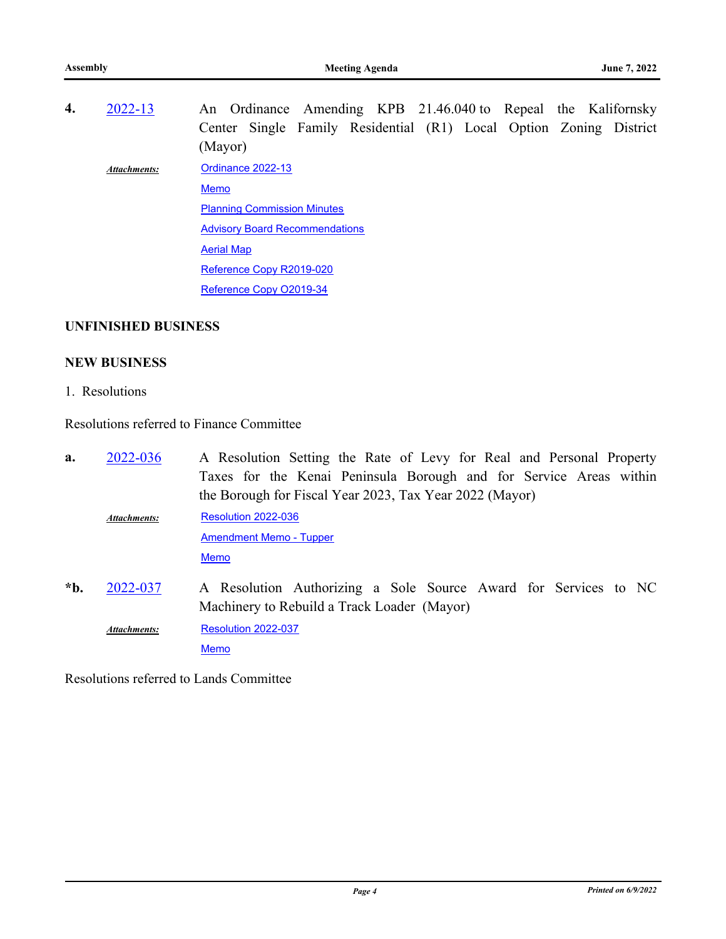An Ordinance Amending KPB 21.46.040 to Repeal the Kalifornsky Center Single Family Residential (R1) Local Option Zoning District (Mayor) **4.** [2022-13](http://kpb.legistar.com/gateway.aspx?m=l&id=/matter.aspx?key=25631) [Ordinance 2022-13](http://kpb.legistar.com/gateway.aspx?M=F&ID=caf86605-70d4-4cbb-94c3-446e227f5647.pdf) [Memo](http://kpb.legistar.com/gateway.aspx?M=F&ID=27245916-0f99-4bb1-aac3-03386b7b04c0.pdf) **[Planning Commission Minutes](http://kpb.legistar.com/gateway.aspx?M=F&ID=9e0d585f-3818-4703-9c6e-6c5a81d90c52.pdf) [Advisory Board Recommendations](http://kpb.legistar.com/gateway.aspx?M=F&ID=fa0d145e-f7ff-438b-9c2c-934358bc917a.pdf)** [Aerial Map](http://kpb.legistar.com/gateway.aspx?M=F&ID=d2c8502e-3f53-4d28-85b6-95cfb7e8850a.pdf) [Reference Copy R2019-020](http://kpb.legistar.com/gateway.aspx?M=F&ID=b735509f-fef1-476e-adf1-2eff3e77a7a1.pdf) [Reference Copy O2019-34](http://kpb.legistar.com/gateway.aspx?M=F&ID=a5bd9070-d30f-431e-ba9a-31537a8a871e.pdf) *Attachments:*

## **UNFINISHED BUSINESS**

## **NEW BUSINESS**

1. Resolutions

Resolutions referred to Finance Committee

- A Resolution Setting the Rate of Levy for Real and Personal Property Taxes for the Kenai Peninsula Borough and for Service Areas within the Borough for Fiscal Year 2023, Tax Year 2022 (Mayor) **a.** [2022-036](http://kpb.legistar.com/gateway.aspx?m=l&id=/matter.aspx?key=25768) [Resolution 2022-036](http://kpb.legistar.com/gateway.aspx?M=F&ID=2ad23333-a53c-438f-8065-0ef7fead8c93.pdf) [Amendment Memo - Tupper](http://kpb.legistar.com/gateway.aspx?M=F&ID=2784e821-c8ab-4013-9488-50405e89231f.pdf) [Memo](http://kpb.legistar.com/gateway.aspx?M=F&ID=6cb89f70-f8d5-4c44-b031-4087d4418262.pdf) *Attachments:*
- A Resolution Authorizing a Sole Source Award for Services to NC Machinery to Rebuild a Track Loader (Mayor) **\*b.** [2022-037](http://kpb.legistar.com/gateway.aspx?m=l&id=/matter.aspx?key=25774) [Resolution 2022-037](http://kpb.legistar.com/gateway.aspx?M=F&ID=e5cc3272-700e-449b-84f4-63e4d14a9b9c.pdf) [Memo](http://kpb.legistar.com/gateway.aspx?M=F&ID=a443e437-6d89-497b-88d1-760eefc4f029.pdf) *Attachments:*

Resolutions referred to Lands Committee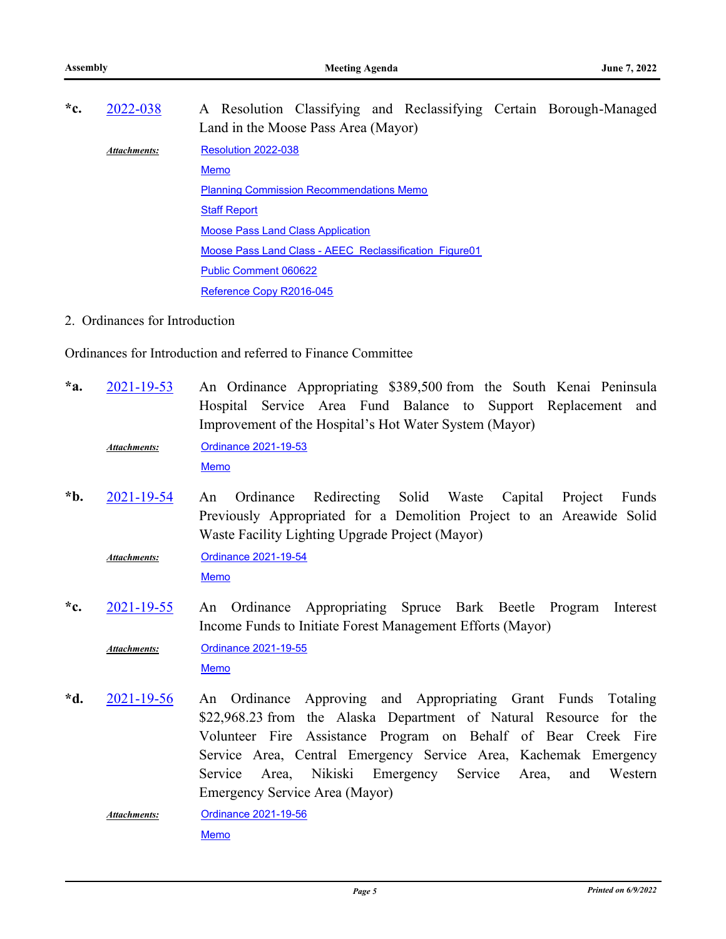| *c. | 2022-038            | A Resolution Classifying and Reclassifying Certain Borough-Managed<br>Land in the Moose Pass Area (Mayor) |
|-----|---------------------|-----------------------------------------------------------------------------------------------------------|
|     | <b>Attachments:</b> | Resolution 2022-038                                                                                       |
|     |                     | <b>Memo</b>                                                                                               |
|     |                     | <b>Planning Commission Recommendations Memo</b>                                                           |
|     |                     | <b>Staff Report</b>                                                                                       |
|     |                     | <b>Moose Pass Land Class Application</b>                                                                  |
|     |                     | Moose Pass Land Class - AEEC Reclassification Figure01                                                    |
|     |                     | <b>Public Comment 060622</b>                                                                              |
|     |                     | Reference Copy R2016-045                                                                                  |

2. Ordinances for Introduction

Ordinances for Introduction and referred to Finance Committee

An Ordinance Appropriating \$389,500 from the South Kenai Peninsula Hospital Service Area Fund Balance to Support Replacement and Improvement of the Hospital's Hot Water System (Mayor) **\*a.** [2021-19-53](http://kpb.legistar.com/gateway.aspx?m=l&id=/matter.aspx?key=25776)

[Ordinance 2021-19-53](http://kpb.legistar.com/gateway.aspx?M=F&ID=15209ea7-5996-41de-a0be-725f2b86a8b8.docx) *Attachments:*

[Memo](http://kpb.legistar.com/gateway.aspx?M=F&ID=b472c038-216a-48cb-b2d8-8c82d39cb57b.pdf)

An Ordinance Redirecting Solid Waste Capital Project Funds Previously Appropriated for a Demolition Project to an Areawide Solid Waste Facility Lighting Upgrade Project (Mayor) **\*b.** [2021-19-54](http://kpb.legistar.com/gateway.aspx?m=l&id=/matter.aspx?key=25775)

[Ordinance 2021-19-54](http://kpb.legistar.com/gateway.aspx?M=F&ID=3d7ce628-4874-4d20-bf67-36178409f7d4.docx) [Memo](http://kpb.legistar.com/gateway.aspx?M=F&ID=fd28911a-2ad0-4913-85da-91cd363b4ee4.pdf) *Attachments:*

An Ordinance Appropriating Spruce Bark Beetle Program Interest Income Funds to Initiate Forest Management Efforts (Mayor) **\*c.** [2021-19-55](http://kpb.legistar.com/gateway.aspx?m=l&id=/matter.aspx?key=25773)

[Ordinance 2021-19-55](http://kpb.legistar.com/gateway.aspx?M=F&ID=1423dad8-c60f-4a5b-ba89-e10aff748ec4.docx) [Memo](http://kpb.legistar.com/gateway.aspx?M=F&ID=ba70e176-bf8b-42bf-b9e8-71c7e971b3f9.pdf) *Attachments:*

An Ordinance Approving and Appropriating Grant Funds Totaling \$22,968.23 from the Alaska Department of Natural Resource for the Volunteer Fire Assistance Program on Behalf of Bear Creek Fire Service Area, Central Emergency Service Area, Kachemak Emergency Service Area, Nikiski Emergency Service Area, and Western Emergency Service Area (Mayor) **\*d.** [2021-19-56](http://kpb.legistar.com/gateway.aspx?m=l&id=/matter.aspx?key=25765)

[Ordinance 2021-19-56](http://kpb.legistar.com/gateway.aspx?M=F&ID=daaf9e06-f092-41c9-8df9-40923abacafd.docx) [Memo](http://kpb.legistar.com/gateway.aspx?M=F&ID=ba61431d-e05e-41ba-a2ad-f551c57315a1.pdf) *Attachments:*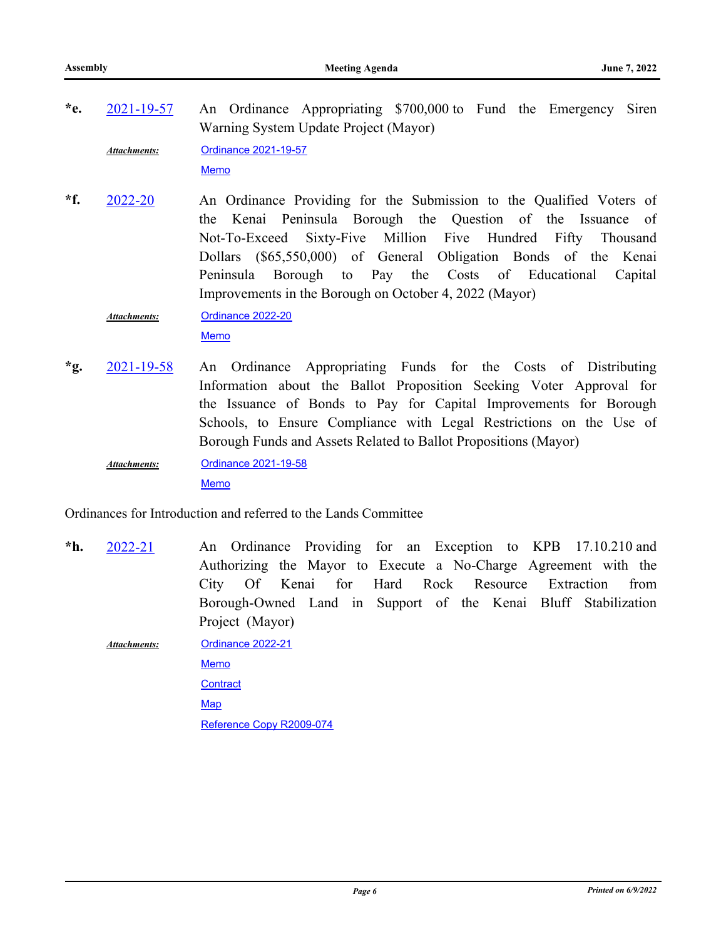- An Ordinance Appropriating \$700,000 to Fund the Emergency Siren Warning System Update Project (Mayor) **\*e.** [2021-19-57](http://kpb.legistar.com/gateway.aspx?m=l&id=/matter.aspx?key=25767) [Ordinance 2021-19-57](http://kpb.legistar.com/gateway.aspx?M=F&ID=bc0d50e0-f44e-421f-96c2-4fb2389e065d.docx) [Memo](http://kpb.legistar.com/gateway.aspx?M=F&ID=bf1f9d64-757b-4737-8ede-cfd4e85ef0bf.pdf) *Attachments:*
- An Ordinance Providing for the Submission to the Qualified Voters of the Kenai Peninsula Borough the Question of the Issuance of Not-To-Exceed Sixty-Five Million Five Hundred Fifty Thousand Dollars (\$65,550,000) of General Obligation Bonds of the Kenai Peninsula Borough to Pay the Costs of Educational Capital Improvements in the Borough on October 4, 2022 (Mayor) **\*f.** [2022-20](http://kpb.legistar.com/gateway.aspx?m=l&id=/matter.aspx?key=25782)

[Ordinance 2022-20](http://kpb.legistar.com/gateway.aspx?M=F&ID=7c05b718-4869-4370-890f-4286c5b1caee.docx) *Attachments:*

[Memo](http://kpb.legistar.com/gateway.aspx?M=F&ID=d9448bba-741e-4c0d-8acf-7c2eb219c2e0.pdf)

An Ordinance Appropriating Funds for the Costs of Distributing Information about the Ballot Proposition Seeking Voter Approval for the Issuance of Bonds to Pay for Capital Improvements for Borough Schools, to Ensure Compliance with Legal Restrictions on the Use of Borough Funds and Assets Related to Ballot Propositions (Mayor) **\*g.** [2021-19-58](http://kpb.legistar.com/gateway.aspx?m=l&id=/matter.aspx?key=25781)

[Ordinance 2021-19-58](http://kpb.legistar.com/gateway.aspx?M=F&ID=96b1c7e4-0bd6-4287-a285-3ed3b3b7ebb7.docx) *Attachments:*

[Memo](http://kpb.legistar.com/gateway.aspx?M=F&ID=fe22668e-bbea-4707-ab02-ceb05ae63f5a.pdf)

Ordinances for Introduction and referred to the Lands Committee

An Ordinance Providing for an Exception to KPB 17.10.210 and Authorizing the Mayor to Execute a No-Charge Agreement with the City Of Kenai for Hard Rock Resource Extraction from Borough-Owned Land in Support of the Kenai Bluff Stabilization Project (Mayor) **\*h.** [2022-21](http://kpb.legistar.com/gateway.aspx?m=l&id=/matter.aspx?key=25777)

[Ordinance 2022-21](http://kpb.legistar.com/gateway.aspx?M=F&ID=75ced380-5f67-4ce9-af59-b53b5a385dc0.docx) *Attachments:*

> [Memo](http://kpb.legistar.com/gateway.aspx?M=F&ID=fd6ac4a0-d381-4830-8a5f-b3ad609e87a7.pdf) **[Contract](http://kpb.legistar.com/gateway.aspx?M=F&ID=d9ef8156-9e47-4a79-bac0-c737a68f430c.docx) [Map](http://kpb.legistar.com/gateway.aspx?M=F&ID=21e6fe56-d84e-461d-b23f-9f17ea5503a3.pdf)** [Reference Copy R2009-074](http://kpb.legistar.com/gateway.aspx?M=F&ID=48221b52-fdb5-4a65-b564-03610bfdd7d9.pdf)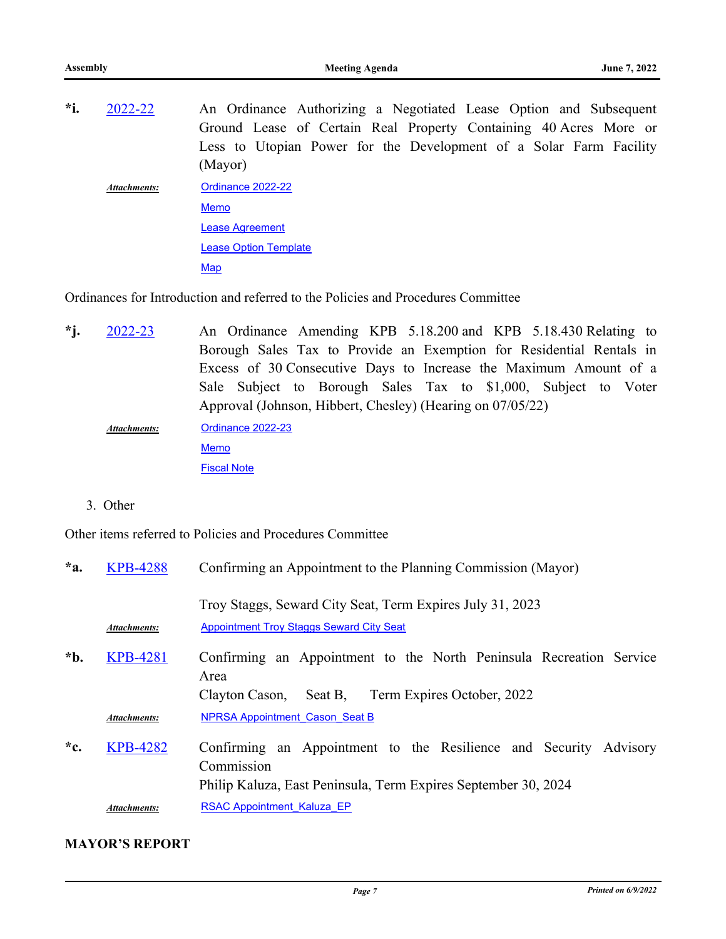An Ordinance Authorizing a Negotiated Lease Option and Subsequent Ground Lease of Certain Real Property Containing 40 Acres More or Less to Utopian Power for the Development of a Solar Farm Facility (Mayor) **\*i.** [2022-22](http://kpb.legistar.com/gateway.aspx?m=l&id=/matter.aspx?key=25783) [Ordinance 2022-22](http://kpb.legistar.com/gateway.aspx?M=F&ID=86e13a4d-bff8-4a67-b2a9-44faf8baa3b0.docx) [Memo](http://kpb.legistar.com/gateway.aspx?M=F&ID=a8651ad2-938e-4ae8-85fe-027d8bff9a47.pdf) [Lease Agreement](http://kpb.legistar.com/gateway.aspx?M=F&ID=6e5dd297-5618-44d6-be38-9758c93b5a5a.docx) **[Lease Option Template](http://kpb.legistar.com/gateway.aspx?M=F&ID=861ab3c1-adba-4ca1-8b97-abecbd235727.docx) [Map](http://kpb.legistar.com/gateway.aspx?M=F&ID=81225e67-c6ee-43cb-b9e4-3e772dac3635.pdf)** *Attachments:*

Ordinances for Introduction and referred to the Policies and Procedures Committee

- An Ordinance Amending KPB 5.18.200 and KPB 5.18.430 Relating to Borough Sales Tax to Provide an Exemption for Residential Rentals in Excess of 30 Consecutive Days to Increase the Maximum Amount of a Sale Subject to Borough Sales Tax to \$1,000, Subject to Voter Approval (Johnson, Hibbert, Chesley) (Hearing on 07/05/22) **\*j.** [2022-23](http://kpb.legistar.com/gateway.aspx?m=l&id=/matter.aspx?key=25770) [Ordinance 2022-23](http://kpb.legistar.com/gateway.aspx?M=F&ID=929663be-5605-498f-baac-58ad4d33dd5d.docx) [Memo](http://kpb.legistar.com/gateway.aspx?M=F&ID=a59aa5cb-d2c5-4802-93c3-40df31a48170.pdf) [Fiscal Note](http://kpb.legistar.com/gateway.aspx?M=F&ID=f0d2c9ff-9f5a-4e13-a399-dd3212fb311d.pdf) *Attachments:*
	- 3. Other

Other items referred to Policies and Procedures Committee

| $*a$ . | <b>KPB-4288</b>     | Confirming an Appointment to the Planning Commission (Mayor)                                                                                      |  |
|--------|---------------------|---------------------------------------------------------------------------------------------------------------------------------------------------|--|
|        | Attachments:        | Troy Staggs, Seward City Seat, Term Expires July 31, 2023<br><b>Appointment Troy Staggs Seward City Seat</b>                                      |  |
| *b.    | <b>KPB-4281</b>     | Confirming an Appointment to the North Peninsula Recreation Service<br>Area<br>Term Expires October, 2022<br>Seat B,<br>Clayton Cason,            |  |
|        | <b>Attachments:</b> | <b>NPRSA Appointment Cason Seat B</b>                                                                                                             |  |
| $C^*$  | <b>KPB-4282</b>     | Confirming an Appointment to the Resilience and Security Advisory<br>Commission<br>Philip Kaluza, East Peninsula, Term Expires September 30, 2024 |  |
|        | <b>Attachments:</b> | <b>RSAC Appointment Kaluza EP</b>                                                                                                                 |  |

#### **MAYOR'S REPORT**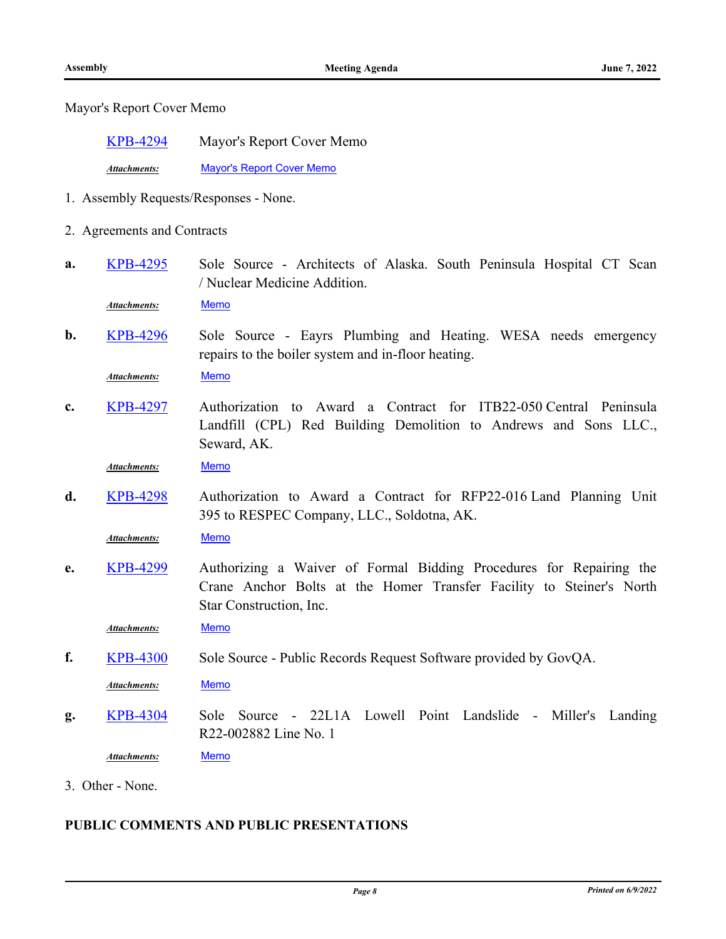Mayor's Report Cover Memo

| <b>KPB-4294</b> | Mayor's Report Cover Memo |
|-----------------|---------------------------|
|                 |                           |

*Attachments:* [Mayor's Report Cover Memo](http://kpb.legistar.com/gateway.aspx?M=F&ID=9ef5016b-f03a-4ddd-a22b-8ded0ef921c9.pdf)

- 1. Assembly Requests/Responses None.
- 2. Agreements and Contracts
- Sole Source Architects of Alaska. South Peninsula Hospital CT Scan / Nuclear Medicine Addition. **a.** [KPB-4295](http://kpb.legistar.com/gateway.aspx?m=l&id=/matter.aspx?key=25785)

*Attachments:* [Memo](http://kpb.legistar.com/gateway.aspx?M=F&ID=8684c227-3fbe-4afb-99a5-9f17d5def427.pdf)

Sole Source - Eayrs Plumbing and Heating. WESA needs emergency repairs to the boiler system and in-floor heating. **b.** [KPB-4296](http://kpb.legistar.com/gateway.aspx?m=l&id=/matter.aspx?key=25786)

*Attachments:* [Memo](http://kpb.legistar.com/gateway.aspx?M=F&ID=5edb2b64-8229-434e-9247-c172e31cc370.pdf)

Authorization to Award a Contract for ITB22-050 Central Peninsula Landfill (CPL) Red Building Demolition to Andrews and Sons LLC., Seward, AK. **c.** [KPB-4297](http://kpb.legistar.com/gateway.aspx?m=l&id=/matter.aspx?key=25787)

*Attachments:* [Memo](http://kpb.legistar.com/gateway.aspx?M=F&ID=f159c41d-a380-48a4-a374-16e5766f0add.pdf)

Authorization to Award a Contract for RFP22-016 Land Planning Unit 395 to RESPEC Company, LLC., Soldotna, AK. **d.** [KPB-4298](http://kpb.legistar.com/gateway.aspx?m=l&id=/matter.aspx?key=25788)

*Attachments:* [Memo](http://kpb.legistar.com/gateway.aspx?M=F&ID=03e4317d-0fe5-4da1-be42-d95d15abddc4.pdf)

Authorizing a Waiver of Formal Bidding Procedures for Repairing the Crane Anchor Bolts at the Homer Transfer Facility to Steiner's North Star Construction, Inc. **e.** [KPB-4299](http://kpb.legistar.com/gateway.aspx?m=l&id=/matter.aspx?key=25789)

*Attachments:* [Memo](http://kpb.legistar.com/gateway.aspx?M=F&ID=103e9b40-6b7b-43a8-9f4a-3d690a2b7af5.pdf)

**f.** [KPB-4300](http://kpb.legistar.com/gateway.aspx?m=l&id=/matter.aspx?key=25790) Sole Source - Public Records Request Software provided by GovQA.

*Attachments:* [Memo](http://kpb.legistar.com/gateway.aspx?M=F&ID=d93bb986-6870-4e7a-8fe7-3e3cc215f7a8.pdf)

Sole Source - 22L1A Lowell Point Landslide - Miller's Landing R22-002882 Line No. 1 **g.** [KPB-4304](http://kpb.legistar.com/gateway.aspx?m=l&id=/matter.aspx?key=25794)

*Attachments:* [Memo](http://kpb.legistar.com/gateway.aspx?M=F&ID=36a20d64-ba76-4ac2-b365-12dd169955fd.pdf)

3. Other - None.

# **PUBLIC COMMENTS AND PUBLIC PRESENTATIONS**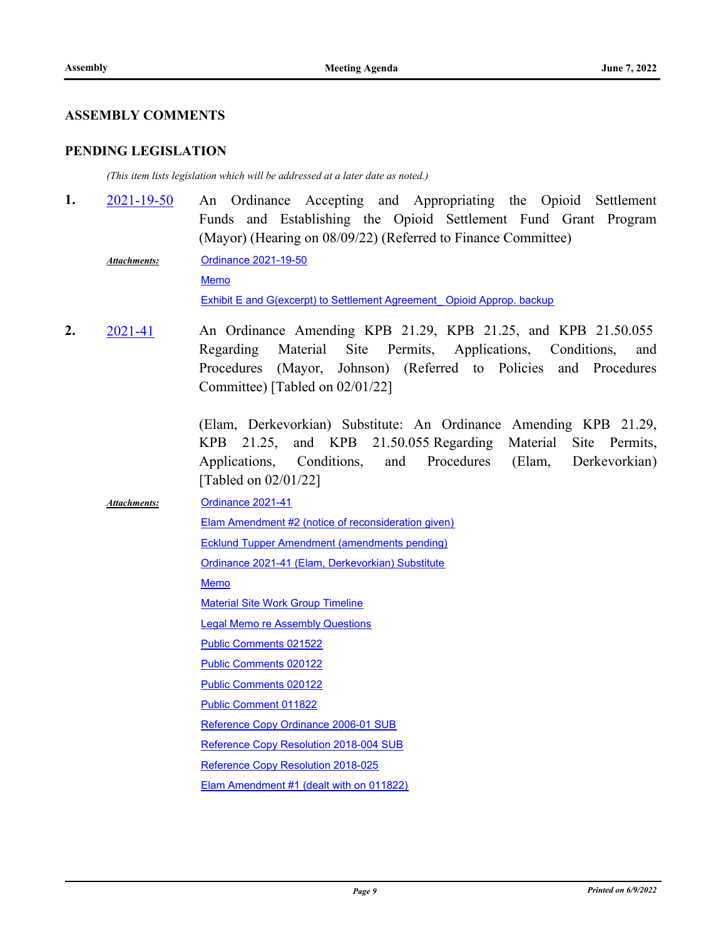#### **ASSEMBLY COMMENTS**

#### **PENDING LEGISLATION**

*(This item lists legislation which will be addressed at a later date as noted.)*

- An Ordinance Accepting and Appropriating the Opioid Settlement Funds and Establishing the Opioid Settlement Fund Grant Program (Mayor) (Hearing on 08/09/22) (Referred to Finance Committee) **1.** [2021-19-50](http://kpb.legistar.com/gateway.aspx?m=l&id=/matter.aspx?key=25630)
	- [Ordinance 2021-19-50](http://kpb.legistar.com/gateway.aspx?M=F&ID=e0e906f8-a1cd-46bd-85f9-6bdffdf0d298.docx) **[Memo](http://kpb.legistar.com/gateway.aspx?M=F&ID=6da10eb9-2598-486a-a89a-449036ae76ec.pdf)** [Exhibit E and G\(excerpt\) to Settlement Agreement\\_ Opioid Approp. backup](http://kpb.legistar.com/gateway.aspx?M=F&ID=5eca9da6-1ea0-4d1c-8fc3-650119c2d634.pdf) *Attachments:*
- An Ordinance Amending KPB 21.29, KPB 21.25, and KPB 21.50.055 Regarding Material Site Permits, Applications, Conditions, and Procedures (Mayor, Johnson) (Referred to Policies and Procedures Committee) [Tabled on 02/01/22] **2.** [2021-41](http://kpb.legistar.com/gateway.aspx?m=l&id=/matter.aspx?key=25232)

(Elam, Derkevorkian) Substitute: An Ordinance Amending KPB 21.29, KPB 21.25, and KPB 21.50.055 Regarding Material Site Permits, Applications, Conditions, and Procedures (Elam, Derkevorkian) [Tabled on 02/01/22]

[Ordinance 2021-41](http://kpb.legistar.com/gateway.aspx?M=F&ID=88ba2e63-8ee5-4a8d-9c96-f341c56f58b1.docx) [Elam Amendment #2 \(notice of reconsideration given\)](http://kpb.legistar.com/gateway.aspx?M=F&ID=7da5d180-bd85-40dc-b045-33a619ecc07a.pdf) [Ecklund Tupper Amendment \(amendments pending\)](http://kpb.legistar.com/gateway.aspx?M=F&ID=c242c5f9-94ac-448f-af34-a5eefd4f8eef.pdf) [Ordinance 2021-41 \(Elam, Derkevorkian\) Substitute](http://kpb.legistar.com/gateway.aspx?M=F&ID=395f53bf-5c48-401b-8450-fece9b672b6d.docx) [Memo](http://kpb.legistar.com/gateway.aspx?M=F&ID=8a2cf8fa-7855-406f-a78e-1c441b30f376.pdf) [Material Site Work Group Timeline](http://kpb.legistar.com/gateway.aspx?M=F&ID=c2abd7a7-c614-418b-837f-cdd9d90b22c8.pdf) [Legal Memo re Assembly Questions](http://kpb.legistar.com/gateway.aspx?M=F&ID=196caa1f-e741-4ee2-9249-62fce4e08963.pdf) [Public Comments 021522](http://kpb.legistar.com/gateway.aspx?M=F&ID=c325f0e7-82cf-4f00-a747-428a93134726.pdf) [Public Comments 020122](http://kpb.legistar.com/gateway.aspx?M=F&ID=fec3fb02-5d6b-424f-966b-d7faaf7c62a4.pdf) [Public Comments 020122](http://kpb.legistar.com/gateway.aspx?M=F&ID=033d0fb8-adda-4ad1-9d53-b65a31817f10.pdf) [Public Comment 011822](http://kpb.legistar.com/gateway.aspx?M=F&ID=f90bae3a-6105-4db5-af1b-2a971eae6844.pdf) [Reference Copy Ordinance 2006-01 SUB](http://kpb.legistar.com/gateway.aspx?M=F&ID=dbdb0455-0498-40a0-a935-769a00678ef7.pdf) [Reference Copy Resolution 2018-004 SUB](http://kpb.legistar.com/gateway.aspx?M=F&ID=9968daaf-45bf-4a46-9845-579c8bac0060.pdf) [Reference Copy Resolution 2018-025](http://kpb.legistar.com/gateway.aspx?M=F&ID=0136fdaf-ba8c-4647-88ac-2e41889be08e.pdf) [Elam Amendment #1 \(dealt with on 011822\)](http://kpb.legistar.com/gateway.aspx?M=F&ID=68828414-f96a-4f06-93d6-3ecbdce5b02e.pdf) *Attachments:*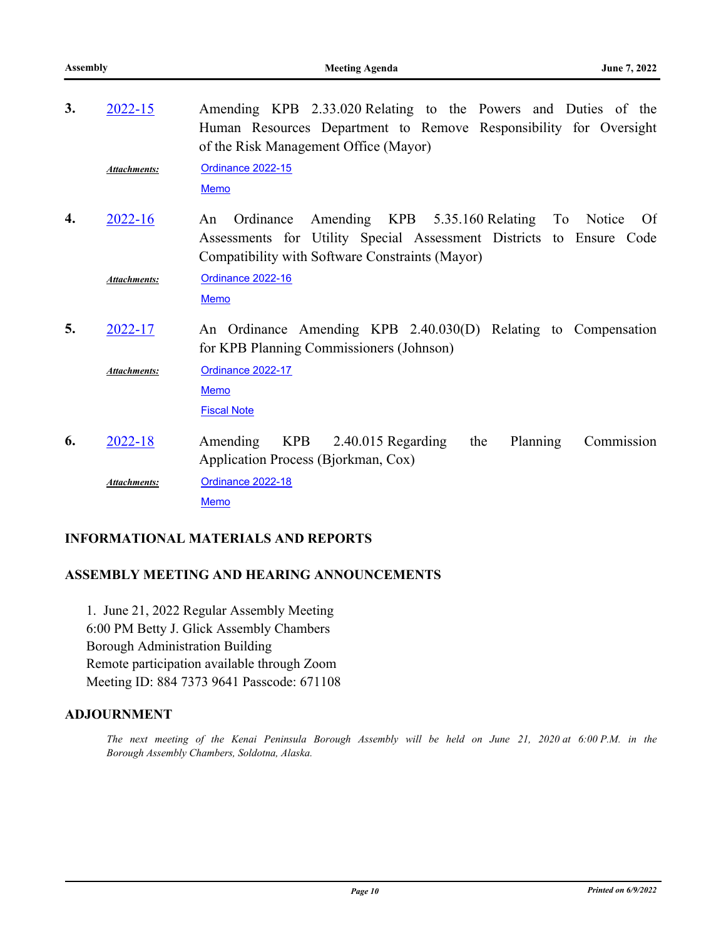| 3. | $2022 - 15$         | Amending KPB 2.33.020 Relating to the Powers and Duties of the<br>Human Resources Department to Remove Responsibility for Oversight<br>of the Risk Management Office (Mayor)                |
|----|---------------------|---------------------------------------------------------------------------------------------------------------------------------------------------------------------------------------------|
|    | Attachments:        | <b>Ordinance 2022-15</b><br>Memo                                                                                                                                                            |
| 4. | $2022 - 16$         | Amending KPB 5.35.160 Relating To Notice<br>Ordinance<br>An<br>Of<br>Assessments for Utility Special Assessment Districts to Ensure Code<br>Compatibility with Software Constraints (Mayor) |
|    | Attachments:        | Ordinance 2022-16<br><b>Memo</b>                                                                                                                                                            |
| 5. | 2022-17             | An Ordinance Amending KPB 2.40.030(D) Relating to Compensation<br>for KPB Planning Commissioners (Johnson)                                                                                  |
|    | <b>Attachments:</b> | Ordinance 2022-17<br><b>Memo</b><br><b>Fiscal Note</b>                                                                                                                                      |
| 6. | $2022 - 18$         | <b>KPB</b><br>Planning<br>Amending<br>$2.40.015$ Regarding<br>the<br>Commission<br>Application Process (Bjorkman, Cox)                                                                      |
|    | <b>Attachments:</b> | Ordinance 2022-18<br><b>Memo</b>                                                                                                                                                            |

#### **INFORMATIONAL MATERIALS AND REPORTS**

# **ASSEMBLY MEETING AND HEARING ANNOUNCEMENTS**

1. June 21, 2022 Regular Assembly Meeting 6:00 PM Betty J. Glick Assembly Chambers Borough Administration Building Remote participation available through Zoom Meeting ID: 884 7373 9641 Passcode: 671108

#### **ADJOURNMENT**

*The next meeting of the Kenai Peninsula Borough Assembly will be held on June 21, 2020 at 6:00 P.M. in the Borough Assembly Chambers, Soldotna, Alaska.*